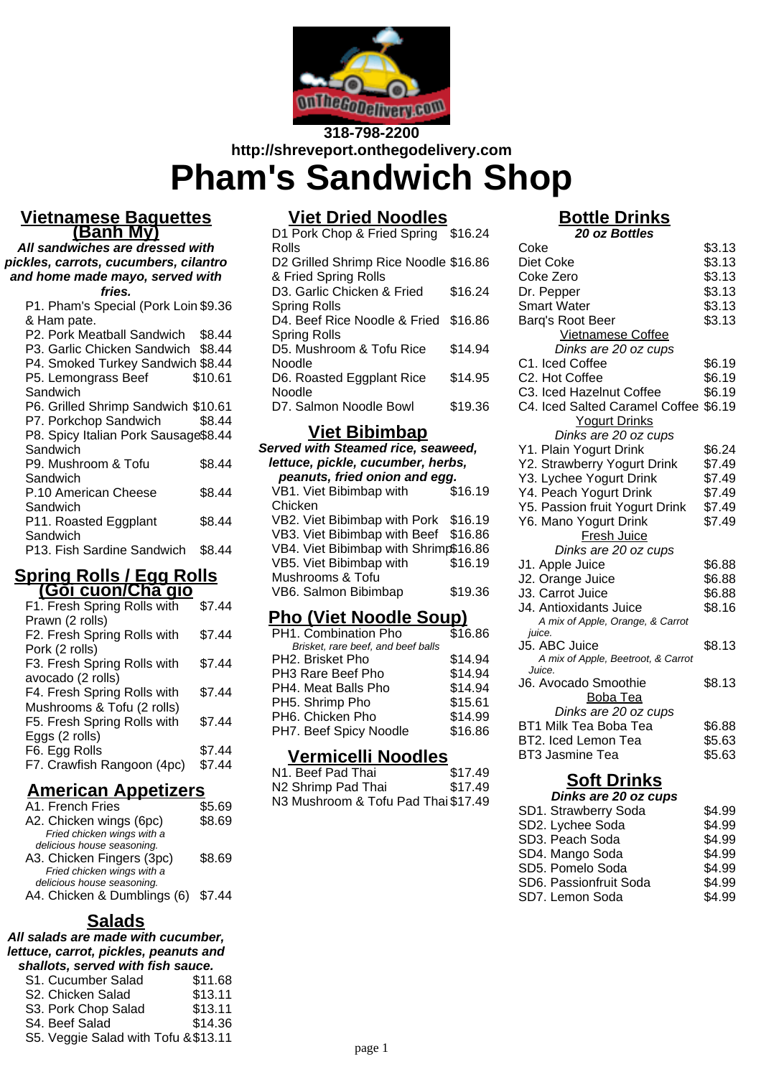

# **318-798-2200 http://shreveport.onthegodelivery.com Pham's Sandwich Shop**

#### **Vietnamese Baguettes (Banh My)**

**All sandwiches are dressed with pickles, carrots, cucumbers, cilantro and home made mayo, served with**

**fries.** P1. Pham's Special (Pork Loin \$9.36 & Ham pate. P2. Pork Meatball Sandwich \$8.44 P3. Garlic Chicken Sandwich \$8.44 P4. Smoked Turkey Sandwich \$8.44 P5. Lemongrass Beef **Sandwich** \$10.61 P6. Grilled Shrimp Sandwich \$10.61 P7. Porkchop Sandwich \$8.44 P8. Spicy Italian Pork Sausage \$8.44 **Sandwich** P9. Mushroom & Tofu **Sandwich** \$8.44 P.10 American Cheese **Sandwich** \$8.44 P11. Roasted Eggplant **Sandwich** \$8.44 P13. Fish Sardine Sandwich \$8.44

#### **Spring Rolls / Egg Rolls (Goi cuon/Cha gio**

| 1                           |        |
|-----------------------------|--------|
| F1. Fresh Spring Rolls with | \$7.44 |
| Prawn (2 rolls)             |        |
| F2. Fresh Spring Rolls with | \$7.44 |
| Pork (2 rolls)              |        |
| F3. Fresh Spring Rolls with | \$7.44 |
| avocado (2 rolls)           |        |
| F4. Fresh Spring Rolls with | \$7.44 |
| Mushrooms & Tofu (2 rolls)  |        |
| F5. Fresh Spring Rolls with | \$7.44 |
| Eggs (2 rolls)              |        |
| F6. Egg Rolls               | \$7.44 |
| F7. Crawfish Rangoon (4pc)  | \$7.44 |
|                             |        |

## **American Appetizers**

| A1. French Fries                   | \$5.69 |
|------------------------------------|--------|
| A2. Chicken wings (6pc)            | \$8.69 |
| Fried chicken wings with a         |        |
| delicious house seasoning.         |        |
| A3. Chicken Fingers (3pc)          | \$8.69 |
| Fried chicken wings with a         |        |
| delicious house seasoning.         |        |
| A4. Chicken & Dumblings (6) \$7.44 |        |
|                                    |        |

## **Salads**

#### **All salads are made with cucumber, lettuce, carrot, pickles, peanuts and shallots, served with fish sauce.**

| S1. Cucumber Salad                   | \$11.68 |
|--------------------------------------|---------|
| S2. Chicken Salad                    | \$13.11 |
| S3. Pork Chop Salad                  | \$13.11 |
| S4. Beef Salad                       | \$14.36 |
| S5. Veggie Salad with Tofu & \$13.11 |         |

# **Viet Dried Noodles**

| D1 Pork Chop & Fried Spring \$16.24   |         |
|---------------------------------------|---------|
| Rolls                                 |         |
| D2 Grilled Shrimp Rice Noodle \$16.86 |         |
| & Fried Spring Rolls                  |         |
| D3. Garlic Chicken & Fried            | \$16.24 |
| Spring Rolls                          |         |
| D4. Beef Rice Noodle & Fried \$16.86  |         |
| Spring Rolls                          |         |
| D5. Mushroom & Tofu Rice              | \$14.94 |
| Noodle                                |         |
| D6. Roasted Eggplant Rice             | \$14.95 |
| Noodle                                |         |
| D7. Salmon Noodle Bowl                | \$19.36 |

#### **Viet Bibimbap**

| Served with Steamed rice, seaweed,<br>lettuce, pickle, cucumber, herbs, |         |  |
|-------------------------------------------------------------------------|---------|--|
| peanuts, fried onion and egg.                                           |         |  |
| VB1. Viet Bibimbap with                                                 | \$16.19 |  |
| Chicken                                                                 |         |  |
| VB2. Viet Bibimbap with Pork                                            | \$16.19 |  |
| VB3. Viet Bibimbap with Beef                                            | \$16.86 |  |
| VB4. Viet Bibimbap with Shrimp\$16.86                                   |         |  |
| VB5. Viet Bibimbap with                                                 | \$16.19 |  |
| Mushrooms & Tofu                                                        |         |  |
| VB6. Salmon Bibimbap                                                    | \$19.36 |  |
|                                                                         |         |  |

## **Pho (Viet Noodle Soup)**

| PH1. Combination Pho               | \$16.86 |
|------------------------------------|---------|
| Brisket, rare beef, and beef balls |         |
| PH2. Brisket Pho                   | \$14.94 |
| PH3 Rare Beef Pho                  | \$14.94 |
| PH4. Meat Balls Pho                | \$14.94 |
| PH5. Shrimp Pho                    | \$15.61 |
| PH6. Chicken Pho                   | \$14.99 |
| PH7. Beef Spicy Noodle             | \$16.86 |

#### **Vermicelli Noodles**

| N1. Beef Pad Thai                   | \$17.49 |
|-------------------------------------|---------|
| N2 Shrimp Pad Thai                  | \$17.49 |
| N3 Mushroom & Tofu Pad Thai \$17.49 |         |

# **Bottle Drinks**

**20 oz Bottles**

| Coke                                         | \$3.13 |
|----------------------------------------------|--------|
| Diet Coke                                    | \$3.13 |
| Coke Zero                                    | \$3.13 |
| Dr. Pepper                                   | \$3.13 |
| <b>Smart Water</b>                           | \$3.13 |
| Barq's Root Beer                             | \$3.13 |
| <b>Vietnamese Coffee</b>                     |        |
| Dinks are 20 oz cups                         |        |
| C1. Iced Coffee                              | \$6.19 |
| C2. Hot Coffee                               | \$6.19 |
| C3. Iced Hazelnut Coffee                     | \$6.19 |
| C4. Iced Salted Caramel Coffee \$6.19        |        |
| <b>Yogurt Drinks</b>                         |        |
| Dinks are 20 oz cups                         |        |
| Y1. Plain Yogurt Drink                       | \$6.24 |
| Y2. Strawberry Yogurt Drink                  | \$7.49 |
| Y3. Lychee Yogurt Drink                      | \$7.49 |
| Y4. Peach Yogurt Drink                       | \$7.49 |
| Y5. Passion fruit Yogurt Drink               | \$7.49 |
| Y6. Mano Yogurt Drink                        | \$7.49 |
| <b>Fresh Juice</b>                           |        |
| Dinks are 20 oz cups                         |        |
| J1. Apple Juice                              | \$6.88 |
| J2. Orange Juice                             | \$6.88 |
| J3. Carrot Juice                             | \$6.88 |
| J4. Antioxidants Juice                       | \$8.16 |
| A mix of Apple, Orange, & Carrot             |        |
| juice.                                       |        |
| J5. ABC Juice                                | \$8.13 |
| A mix of Apple, Beetroot, & Carrot<br>Juice. |        |
| J6. Avocado Smoothie                         | \$8.13 |
| Boba Tea                                     |        |
| Dinks are 20 oz cups                         |        |
| <b>BT1 Milk Tea Boba Tea</b>                 | \$6.88 |
| BT2. Iced Lemon Tea                          | \$5.63 |
| <b>BT3 Jasmine Tea</b>                       | \$5.63 |
|                                              |        |
| Soft Drinks                                  |        |
|                                              |        |

#### **Dinks are 20 oz cups**

| SD1. Strawberry Soda   | \$4.99 |
|------------------------|--------|
| SD2. Lychee Soda       | \$4.99 |
| SD3. Peach Soda        | \$4.99 |
| SD4. Mango Soda        | \$4.99 |
| SD5. Pomelo Soda       | \$4.99 |
| SD6. Passionfruit Soda | \$4.99 |
| SD7. Lemon Soda        | \$4.99 |
|                        |        |